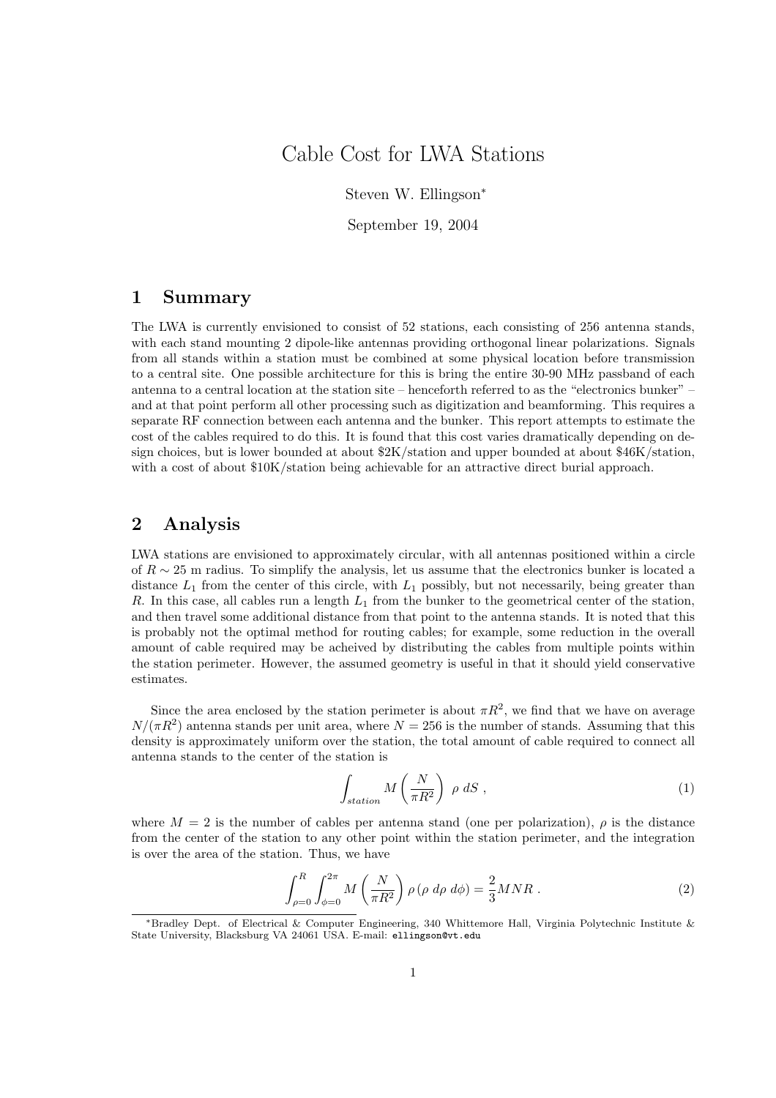## Cable Cost for LWA Stations

Steven W. Ellingson<sup>∗</sup>

September 19, 2004

## 1 Summary

The LWA is currently envisioned to consist of 52 stations, each consisting of 256 antenna stands, with each stand mounting 2 dipole-like antennas providing orthogonal linear polarizations. Signals from all stands within a station must be combined at some physical location before transmission to a central site. One possible architecture for this is bring the entire 30-90 MHz passband of each antenna to a central location at the station site – henceforth referred to as the "electronics bunker" – and at that point perform all other processing such as digitization and beamforming. This requires a separate RF connection between each antenna and the bunker. This report attempts to estimate the cost of the cables required to do this. It is found that this cost varies dramatically depending on design choices, but is lower bounded at about \$2K/station and upper bounded at about \$46K/station, with a cost of about  $10K/\text{station}$  being achievable for an attractive direct burial approach.

## 2 Analysis

LWA stations are envisioned to approximately circular, with all antennas positioned within a circle of  $R \sim 25$  m radius. To simplify the analysis, let us assume that the electronics bunker is located a distance  $L_1$  from the center of this circle, with  $L_1$  possibly, but not necessarily, being greater than R. In this case, all cables run a length  $L_1$  from the bunker to the geometrical center of the station, and then travel some additional distance from that point to the antenna stands. It is noted that this is probably not the optimal method for routing cables; for example, some reduction in the overall amount of cable required may be acheived by distributing the cables from multiple points within the station perimeter. However, the assumed geometry is useful in that it should yield conservative estimates.

Since the area enclosed by the station perimeter is about  $\pi R^2$ , we find that we have on average  $N/(\pi R^2)$  antenna stands per unit area, where  $N = 256$  is the number of stands. Assuming that this density is approximately uniform over the station, the total amount of cable required to connect all antenna stands to the center of the station is

$$
\int_{station} M\left(\frac{N}{\pi R^2}\right) \rho \, dS \,,\tag{1}
$$

where  $M = 2$  is the number of cables per antenna stand (one per polarization),  $\rho$  is the distance from the center of the station to any other point within the station perimeter, and the integration is over the area of the station. Thus, we have

$$
\int_{\rho=0}^{R} \int_{\phi=0}^{2\pi} M\left(\frac{N}{\pi R^2}\right) \rho \left(\rho \, d\rho \, d\phi\right) = \frac{2}{3} M N R \; . \tag{2}
$$

<sup>∗</sup>Bradley Dept. of Electrical & Computer Engineering, 340 Whittemore Hall, Virginia Polytechnic Institute & State University, Blacksburg VA 24061 USA. E-mail: ellingson@vt.edu